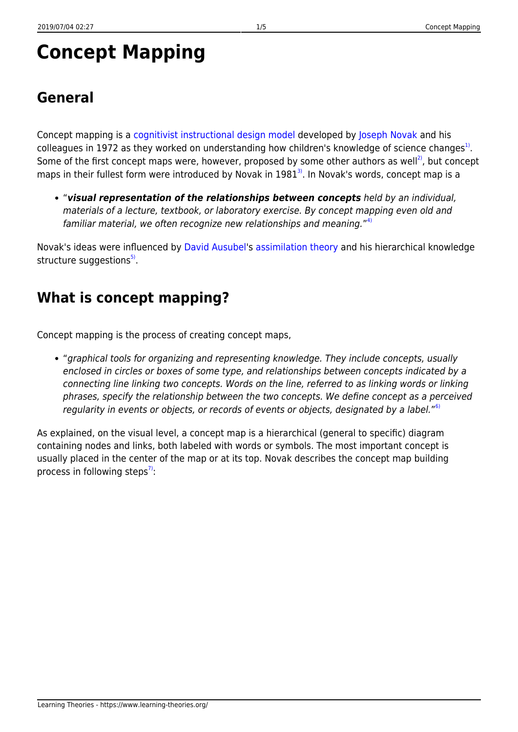# **Concept Mapping**

Concept mapping is a [cognitivist instructional design model](https://www.learning-theories.org/doku.php?id=learning_paradigms) developed by [Joseph Novak](http://www.ihmc.us/groups/jnovak/) and his colleagues in 1972 as they worked on understanding how children's knowledge of science changes<sup>[1\)](#page--1-0)</sup>. Some of the first concept maps were, however, proposed by some other authors as well<sup>2</sup>, but concept maps in their fullest form were introduced by Novak in  $1981<sup>3</sup>$ . In Novak's words, concept map is a

"*visual representation of the relationships between concepts* held by an individual, materials of a lecture, textbook, or laboratory exercise. By concept mapping even old and familiar material, we often recognize new relationships and meaning."<sup>[4\)](#page--1-0)</sup>

Novak's ideas were influenced by [David Ausubel](http://www.davidausubel.org/)'s [assimilation theory](https://www.learning-theories.org/doku.php?id=learning_theories:assimilation_theory) and his hierarchical knowledge structure suggestions<sup>[5\)](#page--1-0)</sup>.

### **What is concept mapping?**

Concept mapping is the process of creating concept maps,

"graphical tools for organizing and representing knowledge. They include concepts, usually enclosed in circles or boxes of some type, and relationships between concepts indicated by a connecting line linking two concepts. Words on the line, referred to as linking words or linking phrases, specify the relationship between the two concepts. We define concept as a perceived regularity in events or objects, or records of events or objects, designated by a label."<sup>[6\)](#page--1-0)</sup>

As explained, on the visual level, a concept map is a hierarchical (general to specific) diagram containing nodes and links, both labeled with words or symbols. The most important concept is usually placed in the center of the map or at its top. Novak describes the concept map building process in following steps<sup>[7\)](#page--1-0)</sup>: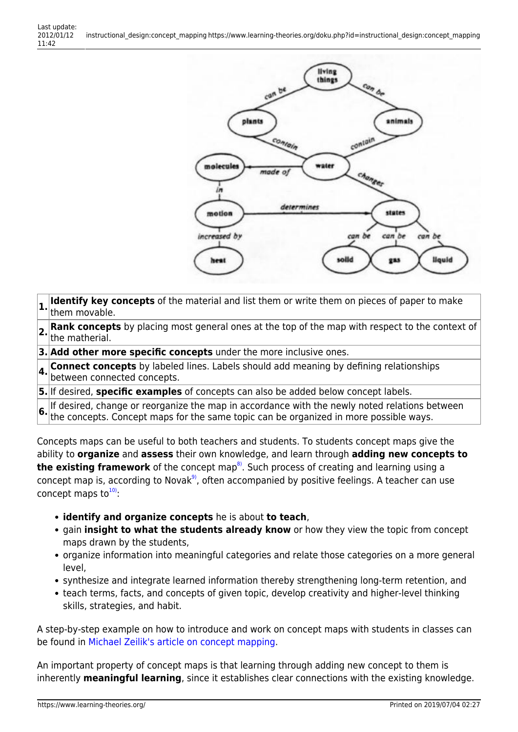

- **1.** Identify key concepts of the material and list them or write them on pieces of paper to make them movable.
- **2. Rank concepts** by placing most general ones at the top of the map with respect to the context of  $\left|2.\right|$  he matherial.
- **3. Add other more specific concepts** under the more inclusive ones.
- **4. Connect concepts** by labeled lines. Labels should add meaning by defining relationships between connected concepts.
- **5.** If desired, **specific examples** of concepts can also be added below concept labels.

**6.** If desired, change or reorganize the map in accordance with the newly noted relations between the concepts. Concept maps for the same topic can be organized in more possible ways.

Concepts maps can be useful to both teachers and students. To students concept maps give the ability to **organize** and **assess** their own knowledge, and learn through **adding new concepts to the existing framework** of the concept map<sup>8</sup>. Such process of creating and learning using a concept map is, according to Novak $9$ , often accompanied by positive feelings. A teacher can use concept maps to $10$ ):

- **identify and organize concepts** he is about **to teach**,
- gain **insight to what the students already know** or how they view the topic from concept maps drawn by the students,
- organize information into meaningful categories and relate those categories on a more general level,
- synthesize and integrate learned information thereby strengthening long-term retention, and
- teach terms, facts, and concepts of given topic, develop creativity and higher-level thinking skills, strategies, and habit.

A step-by-step example on how to introduce and work on concept maps with students in classes can be found in [Michael Zeilik's article on concept mapping](http://www.flaguide.org/cat/conmap/conmap7.php).

An important property of concept maps is that learning through adding new concept to them is inherently **meaningful learning**, since it establishes clear connections with the existing knowledge.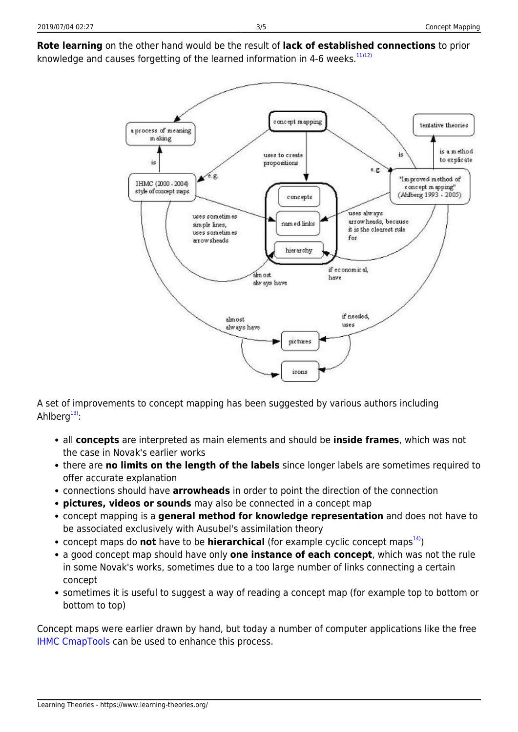

A set of improvements to concept mapping has been suggested by various authors including Ahlberg $13$ :

- all **concepts** are interpreted as main elements and should be **inside frames**, which was not the case in Novak's earlier works
- there are **no limits on the length of the labels** since longer labels are sometimes required to offer accurate explanation
- connections should have **arrowheads** in order to point the direction of the connection
- **pictures, videos or sounds** may also be connected in a concept map
- concept mapping is a **general method for knowledge representation** and does not have to be associated exclusively with Ausubel's assimilation theory
- concept maps do **not** have to be **hierarchical** (for example cyclic concept maps<sup>14</sup>)
- a good concept map should have only **one instance of each concept**, which was not the rule in some Novak's works, sometimes due to a too large number of links connecting a certain concept
- sometimes it is useful to suggest a way of reading a concept map (for example top to bottom or bottom to top)

Concept maps were earlier drawn by hand, but today a number of computer applications like the free [IHMC CmapTools](http://cmap.ihmc.us/) can be used to enhance this process.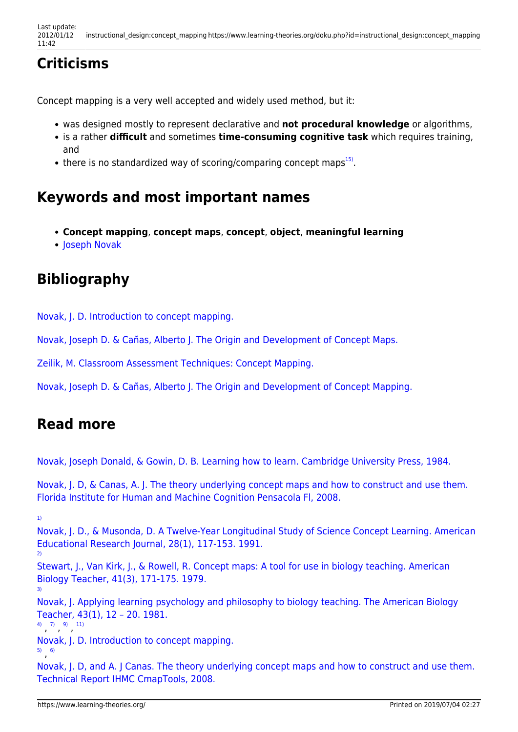## **Criticisms**

Concept mapping is a very well accepted and widely used method, but it:

- was designed mostly to represent declarative and **not procedural knowledge** or algorithms,
- is a rather **difficult** and sometimes **time-consuming cognitive task** which requires training, and
- there is no standardized way of scoring/comparing concept maps<sup>[15\)](#page--1-0)</sup>.

### **Keywords and most important names**

- **Concept mapping**, **concept maps**, **concept**, **object**, **meaningful learning**
- [Joseph Novak](http://www.ihmc.us/groups/jnovak/)

### **Bibliography**

[Novak, J. D. Introduction to concept mapping.](http://uwf.edu/jgould/ConceptMappingIntro.pdf)

[Novak, Joseph D. & Cañas, Alberto J. The Origin and Development of Concept Maps.](http://cmap.ihmc.us/docs/Origins.html)

[Zeilik, M. Classroom Assessment Techniques: Concept Mapping.](http://www.flaguide.org/cat/conmap/conmap7.php)

[Novak, Joseph D. & Cañas, Alberto J. The Origin and Development of Concept Mapping.](http://cmap.ihmc.us/docs/Origins.html)

### **Read more**

[Novak, Joseph Donald, & Gowin, D. B. Learning how to learn. Cambridge University Press, 1984.](http://books.google.hr/books?id=8jkBcSDQPXcC&printsec=frontcover&dq=Novak+and+Gowin%27s+Learning+How+to+Learn&hl=hr&ei=ul13Te2eJsbCtAaNtZ2GBQ&sa=X&oi=book_result&ct=result&resnum=1&ved=0CCkQ6AEwAA#v=onepage&q=Novak%20and%20Gowin%27s%20Learning%20How%20to%20Learn&f=false)

[Novak, J. D, & Canas, A. J. The theory underlying concept maps and how to construct and use them.](http://citeseerx.ist.psu.edu/viewdoc/download?doi=10.1.1.137.2955&rep=rep1&type=pdf) [Florida Institute for Human and Machine Cognition Pensacola Fl, 2008.](http://citeseerx.ist.psu.edu/viewdoc/download?doi=10.1.1.137.2955&rep=rep1&type=pdf)

[Novak, J. D., & Musonda, D. A Twelve-Year Longitudinal Study of Science Concept Learning. American](http://aer.sagepub.com/content/28/1/117.abstract) [Educational Research Journal, 28\(1\), 117-153. 1991.](http://aer.sagepub.com/content/28/1/117.abstract)

[2\)](#page--1-0)

[3\)](#page--1-0)

[Stewart, J., Van Kirk, J., & Rowell, R. Concept maps: A tool for use in biology teaching. American](http://www.eric.ed.gov/ERICWebPortal/detail?accno=EJ201881) [Biology Teacher, 41\(3\), 171-175. 1979.](http://www.eric.ed.gov/ERICWebPortal/detail?accno=EJ201881)

[Novak, J. Applying learning psychology and philosophy to biology teaching. The American Biology](http://www.eric.ed.gov/ERICWebPortal/detail?accno=EJ239394) [Teacher, 43\(1\), 12 – 20. 1981.](http://www.eric.ed.gov/ERICWebPortal/detail?accno=EJ239394)

[4\)](#page--1-0) [7\)](#page--1-0) [9\)](#page--1-0) [11\)](#page--1-0)

[Novak, J. D. Introduction to concept mapping.](http://uwf.edu/jgould/ConceptMappingIntro.pdf)

[5\)](#page--1-0) , [6\)](#page--1-0)

[Novak, J. D, and A. J Canas. The theory underlying concept maps and how to construct and use them.](http://cmap.ihmc.us/Publications/ResearchPapers/TheoryCmaps/TheoryUnderlyingConceptMaps.htm) [Technical Report IHMC CmapTools, 2008.](http://cmap.ihmc.us/Publications/ResearchPapers/TheoryCmaps/TheoryUnderlyingConceptMaps.htm)

[<sup>1\)</sup>](#page--1-0)